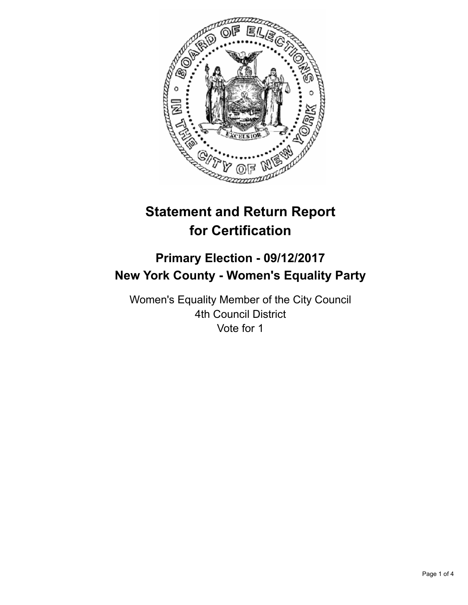

# **Statement and Return Report for Certification**

## **Primary Election - 09/12/2017 New York County - Women's Equality Party**

Women's Equality Member of the City Council 4th Council District Vote for 1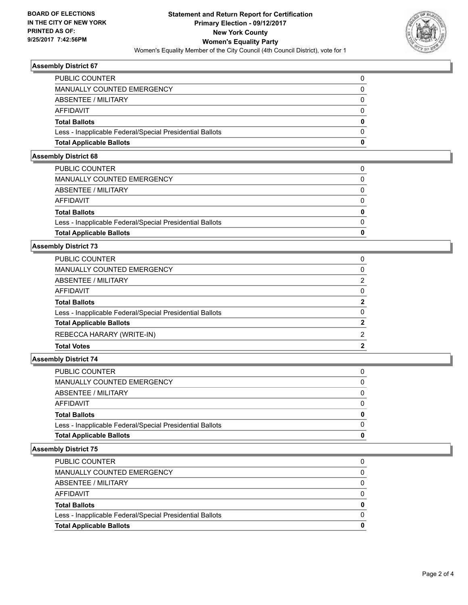

#### **Assembly District 67**

| <b>PUBLIC COUNTER</b>                                    |              |
|----------------------------------------------------------|--------------|
| MANUALLY COUNTED EMERGENCY                               |              |
| ABSENTEE / MILITARY                                      |              |
| AFFIDAVIT                                                |              |
| <b>Total Ballots</b>                                     | 0            |
| Less - Inapplicable Federal/Special Presidential Ballots | <sup>0</sup> |
| <b>Total Applicable Ballots</b>                          | 0            |
|                                                          |              |

## **Assembly District 68**

| <b>Total Applicable Ballots</b>                          | O            |
|----------------------------------------------------------|--------------|
| Less - Inapplicable Federal/Special Presidential Ballots | 0            |
| <b>Total Ballots</b>                                     | $\mathbf{0}$ |
| <b>AFFIDAVIT</b>                                         | $\Omega$     |
| <b>ABSENTEE / MILITARY</b>                               | 0            |
| <b>MANUALLY COUNTED EMERGENCY</b>                        | $\Omega$     |
| PUBLIC COUNTER                                           |              |

#### **Assembly District 73**

| <b>PUBLIC COUNTER</b>                                    | 0             |
|----------------------------------------------------------|---------------|
| MANUALLY COUNTED EMERGENCY                               | 0             |
| ABSENTEE / MILITARY                                      | 2             |
| AFFIDAVIT                                                | $\Omega$      |
| <b>Total Ballots</b>                                     | $\mathbf{2}$  |
| Less - Inapplicable Federal/Special Presidential Ballots | 0             |
| <b>Total Applicable Ballots</b>                          | $\mathbf{2}$  |
| REBECCA HARARY (WRITE-IN)                                | $\mathcal{P}$ |
| <b>Total Votes</b>                                       | 2             |

#### **Assembly District 74**

| <b>Total Applicable Ballots</b>                          | o        |
|----------------------------------------------------------|----------|
| Less - Inapplicable Federal/Special Presidential Ballots | $\Omega$ |
| <b>Total Ballots</b>                                     | 0        |
| <b>AFFIDAVIT</b>                                         | $\Omega$ |
| ABSENTEE / MILITARY                                      | $\Omega$ |
| <b>MANUALLY COUNTED EMERGENCY</b>                        | 0        |
| PUBLIC COUNTER                                           | 0        |

#### **Assembly District 75**

| <b>Total Applicable Ballots</b>                          | 0        |
|----------------------------------------------------------|----------|
| Less - Inapplicable Federal/Special Presidential Ballots |          |
| <b>Total Ballots</b>                                     | 0        |
| AFFIDAVIT                                                | 0        |
| ABSENTEE / MILITARY                                      | $\Omega$ |
| MANUALLY COUNTED EMERGENCY                               | 0        |
| <b>PUBLIC COUNTER</b>                                    |          |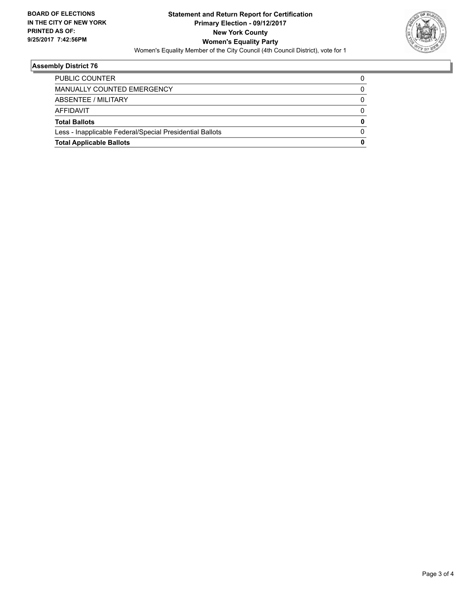

## **Assembly District 76**

| <b>Total Applicable Ballots</b>                          | 0 |
|----------------------------------------------------------|---|
| Less - Inapplicable Federal/Special Presidential Ballots |   |
| <b>Total Ballots</b>                                     | 0 |
| AFFIDAVIT                                                |   |
| ABSENTEE / MILITARY                                      |   |
| <b>MANUALLY COUNTED EMERGENCY</b>                        |   |
| <b>PUBLIC COUNTER</b>                                    |   |